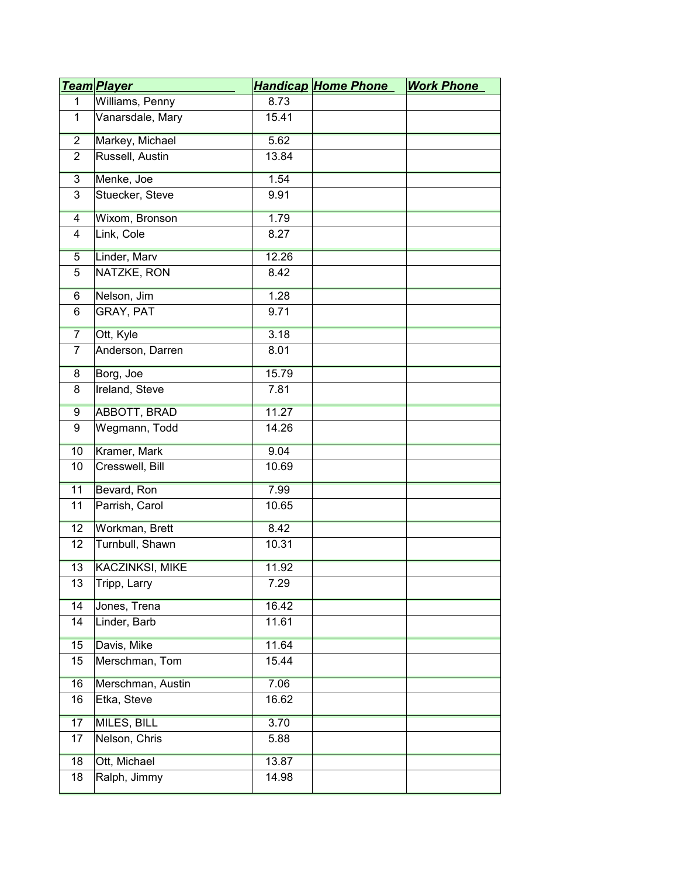|                | <u>Team Player</u>     |       | <b>Handicap Home Phone</b> | <b>Work Phone</b> |
|----------------|------------------------|-------|----------------------------|-------------------|
| $\mathbf{1}$   | Williams, Penny        | 8.73  |                            |                   |
| $\mathbf{1}$   | Vanarsdale, Mary       | 15.41 |                            |                   |
| $\overline{2}$ | Markey, Michael        | 5.62  |                            |                   |
| $\overline{2}$ | Russell, Austin        | 13.84 |                            |                   |
| $\overline{3}$ | Menke, Joe             | 1.54  |                            |                   |
| 3              | Stuecker, Steve        | 9.91  |                            |                   |
| 4              | Wixom, Bronson         | 1.79  |                            |                   |
| $\overline{4}$ | Link, Cole             | 8.27  |                            |                   |
| $\overline{5}$ | Linder, Marv           | 12.26 |                            |                   |
| 5              | NATZKE, RON            | 8.42  |                            |                   |
| 6              | Nelson, Jim            | 1.28  |                            |                   |
| 6              | GRAY, PAT              | 9.71  |                            |                   |
| $\overline{7}$ | Ott, Kyle              | 3.18  |                            |                   |
| $\overline{7}$ | Anderson, Darren       | 8.01  |                            |                   |
| 8              | Borg, Joe              | 15.79 |                            |                   |
| 8              | Ireland, Steve         | 7.81  |                            |                   |
| 9              | <b>ABBOTT, BRAD</b>    | 11.27 |                            |                   |
| 9              | Wegmann, Todd          | 14.26 |                            |                   |
| 10             | Kramer, Mark           | 9.04  |                            |                   |
| 10             | Cresswell, Bill        | 10.69 |                            |                   |
| 11             | Bevard, Ron            | 7.99  |                            |                   |
| 11             | Parrish, Carol         | 10.65 |                            |                   |
| 12             | Workman, Brett         | 8.42  |                            |                   |
| 12             | Turnbull, Shawn        | 10.31 |                            |                   |
| 13             | <b>KACZINKSI, MIKE</b> | 11.92 |                            |                   |
| 13             | Tripp, Larry           | 7.29  |                            |                   |
| 14             | Jones, Trena           | 16.42 |                            |                   |
| 14             | Linder, Barb           | 11.61 |                            |                   |
| 15             | Davis, Mike            | 11.64 |                            |                   |
| 15             | Merschman, Tom         | 15.44 |                            |                   |
| 16             | Merschman, Austin      | 7.06  |                            |                   |
| 16             | Etka, Steve            | 16.62 |                            |                   |
| 17             | <b>MILES, BILL</b>     | 3.70  |                            |                   |
| 17             | Nelson, Chris          | 5.88  |                            |                   |
| 18             | Ott, Michael           | 13.87 |                            |                   |
| 18             | Ralph, Jimmy           | 14.98 |                            |                   |